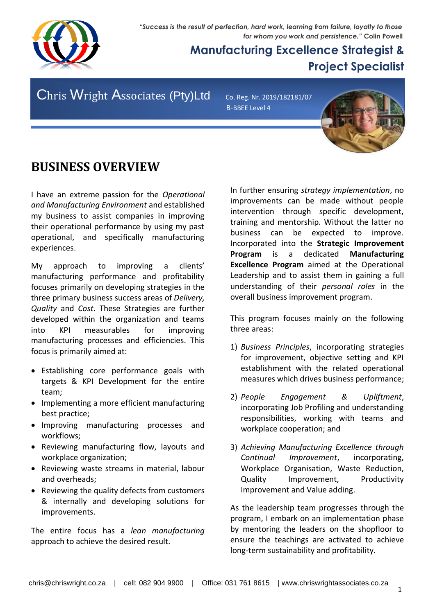*"Success is the result of perfection, hard work, learning from failure, loyalty to those for whom you work and persistence."* **Colin Powell**



## **Manufacturing Excellence Strategist & Project Specialist**

Chris Wright Associates (Pty)Ltd Co. Reg. Nr. 2019/182181/07

B-BBEE Level 4



## **BUSINESS OVERVIEW**

I have an extreme passion for the *Operational and Manufacturing Environment* and established my business to assist companies in improving their operational performance by using my past operational, and specifically manufacturing experiences.

My approach to improving a clients' manufacturing performance and profitability focuses primarily on developing strategies in the three primary business success areas of *Delivery, Quality* and *Cost*. These Strategies are further developed within the organization and teams into KPI measurables for improving manufacturing processes and efficiencies. This focus is primarily aimed at:

- Establishing core performance goals with targets & KPI Development for the entire team;
- Implementing a more efficient manufacturing best practice;
- Improving manufacturing processes and workflows;
- Reviewing manufacturing flow, layouts and workplace organization;
- Reviewing waste streams in material, labour and overheads;
- Reviewing the quality defects from customers & internally and developing solutions for improvements.

The entire focus has a *lean manufacturing* approach to achieve the desired result.

In further ensuring *strategy implementation*, no improvements can be made without people intervention through specific development, training and mentorship. Without the latter no business can be expected to improve. Incorporated into the **Strategic Improvement Program** is a dedicated **Manufacturing Excellence Program** aimed at the Operational Leadership and to assist them in gaining a full understanding of their *personal roles* in the overall business improvement program.

This program focuses mainly on the following three areas:

- 1) *Business Principles*, incorporating strategies for improvement, objective setting and KPI establishment with the related operational measures which drives business performance;
- 2) *People Engagement & Upliftment*, incorporating Job Profiling and understanding responsibilities, working with teams and workplace cooperation; and
- 3) *Achieving Manufacturing Excellence through Continual Improvement*, incorporating, Workplace Organisation, Waste Reduction, Quality Improvement, Productivity Improvement and Value adding.

As the leadership team progresses through the program, I embark on an implementation phase by mentoring the leaders on the shopfloor to ensure the teachings are activated to achieve long-term sustainability and profitability.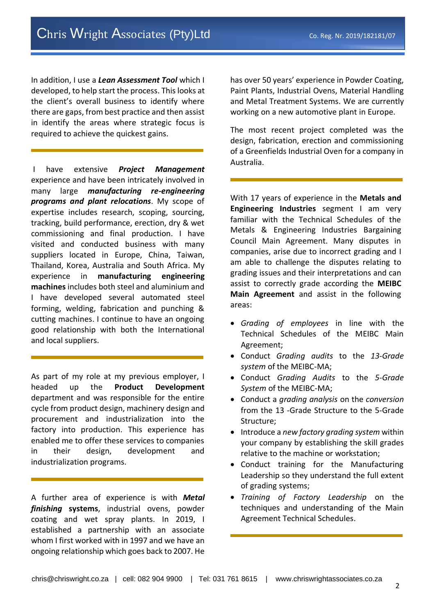In addition, I use a *Lean Assessment Tool* which I developed, to help start the process. This looks at the client's overall business to identify where there are gaps, from best practice and then assist in identify the areas where strategic focus is required to achieve the quickest gains.

I have extensive *Project Management* experience and have been intricately involved in many large *manufacturing re-engineering programs and plant relocations*. My scope of expertise includes research, scoping, sourcing, tracking, build performance, erection, dry & wet commissioning and final production. I have visited and conducted business with many suppliers located in Europe, China, Taiwan, Thailand, Korea, Australia and South Africa. My experience in **manufacturing engineering machines** includes both steel and aluminium and I have developed several automated steel forming, welding, fabrication and punching & cutting machines. I continue to have an ongoing good relationship with both the International and local suppliers.

As part of my role at my previous employer, I headed up the **Product Development** department and was responsible for the entire cycle from product design, machinery design and procurement and industrialization into the factory into production. This experience has enabled me to offer these services to companies in their design, development and industrialization programs.

A further area of experience is with *Metal finishing* **systems**, industrial ovens, powder coating and wet spray plants. In 2019, I established a partnership with an associate whom I first worked with in 1997 and we have an ongoing relationship which goes back to 2007. He

has over 50 years' experience in Powder Coating, Paint Plants, Industrial Ovens, Material Handling and Metal Treatment Systems. We are currently working on a new automotive plant in Europe.

The most recent project completed was the design, fabrication, erection and commissioning of a Greenfields Industrial Oven for a company in Australia.

With 17 years of experience in the **Metals and Engineering Industries** segment I am very familiar with the Technical Schedules of the Metals & Engineering Industries Bargaining Council Main Agreement. Many disputes in companies, arise due to incorrect grading and I am able to challenge the disputes relating to grading issues and their interpretations and can assist to correctly grade according the **MEIBC Main Agreement** and assist in the following areas:

- *Grading of employees* in line with the Technical Schedules of the MEIBC Main Agreement;
- Conduct *Grading audits* to the *13-Grade system* of the MEIBC-MA;
- Conduct *Grading Audits* to the *5-Grade System* of the MEIBC-MA;
- Conduct a *grading analysis* on the *conversion*  from the 13 -Grade Structure to the 5-Grade Structure;
- Introduce a *new factory grading system* within your company by establishing the skill grades relative to the machine or workstation;
- Conduct training for the Manufacturing Leadership so they understand the full extent of grading systems;
- *Training of Factory Leadership* on the techniques and understanding of the Main Agreement Technical Schedules.